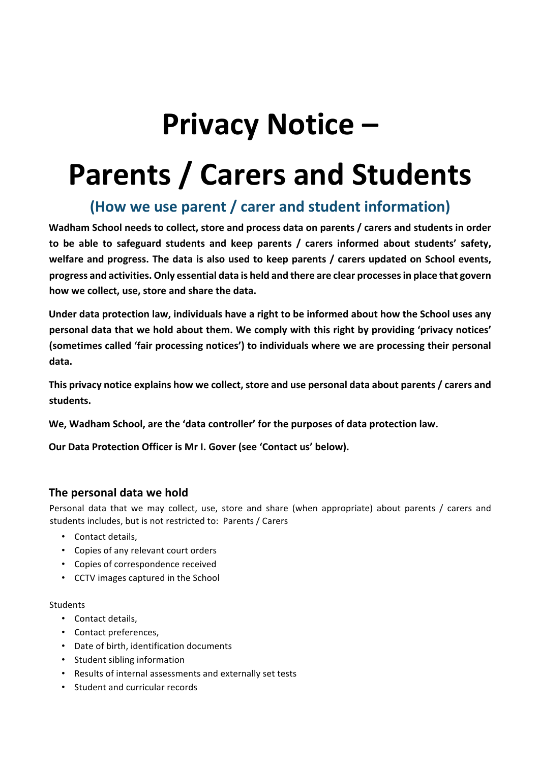# **Privacy Notice –**

# **Parents / Carers and Students**

# **(How we use parent / carer and student information)**

**Wadham School needs to collect, store and process data on parents / carers and students in order** to be able to safeguard students and keep parents / carers informed about students' safety, welfare and progress. The data is also used to keep parents / carers updated on School events, progress and activities. Only essential data is held and there are clear processes in place that govern how we collect, use, store and share the data.

Under data protection law, individuals have a right to be informed about how the School uses any personal data that we hold about them. We comply with this right by providing 'privacy notices' (sometimes called 'fair processing notices') to individuals where we are processing their personal data.

This privacy notice explains how we collect, store and use personal data about parents / carers and **students.** 

We, Wadham School, are the 'data controller' for the purposes of data protection law.

**Our Data Protection Officer is Mr I. Gover (see 'Contact us' below).** 

# **The personal data we hold**

Personal data that we may collect, use, store and share (when appropriate) about parents / carers and students includes, but is not restricted to: Parents / Carers

- Contact details.
- Copies of any relevant court orders
- Copies of correspondence received
- CCTV images captured in the School

#### Students

- Contact details,
- Contact preferences.
- Date of birth, identification documents
- Student sibling information
- Results of internal assessments and externally set tests
- Student and curricular records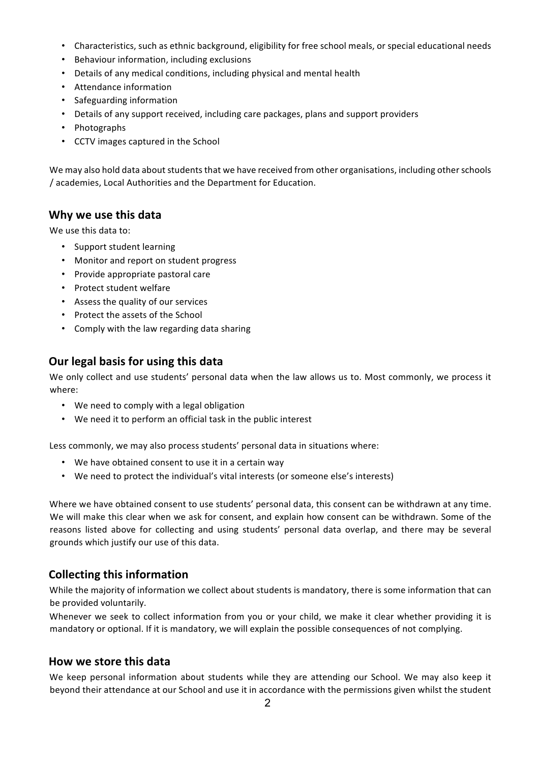- Characteristics, such as ethnic background, eligibility for free school meals, or special educational needs
- Behaviour information, including exclusions
- Details of any medical conditions, including physical and mental health
- Attendance information
- Safeguarding information
- Details of any support received, including care packages, plans and support providers
- Photographs
- CCTV images captured in the School

We may also hold data about students that we have received from other organisations, including other schools / academies, Local Authorities and the Department for Education.

### **Why we use this data**

We use this data to:

- Support student learning
- Monitor and report on student progress
- Provide appropriate pastoral care
- Protect student welfare
- Assess the quality of our services
- Protect the assets of the School
- Comply with the law regarding data sharing

# **Our legal basis for using this data**

We only collect and use students' personal data when the law allows us to. Most commonly, we process it where: 

- We need to comply with a legal obligation
- We need it to perform an official task in the public interest

Less commonly, we may also process students' personal data in situations where:

- We have obtained consent to use it in a certain way
- We need to protect the individual's vital interests (or someone else's interests)

Where we have obtained consent to use students' personal data, this consent can be withdrawn at any time. We will make this clear when we ask for consent, and explain how consent can be withdrawn. Some of the reasons listed above for collecting and using students' personal data overlap, and there may be several grounds which justify our use of this data.

# **Collecting this information**

While the majority of information we collect about students is mandatory, there is some information that can be provided voluntarily.

Whenever we seek to collect information from you or your child, we make it clear whether providing it is mandatory or optional. If it is mandatory, we will explain the possible consequences of not complying.

#### **How we store this data**

We keep personal information about students while they are attending our School. We may also keep it beyond their attendance at our School and use it in accordance with the permissions given whilst the student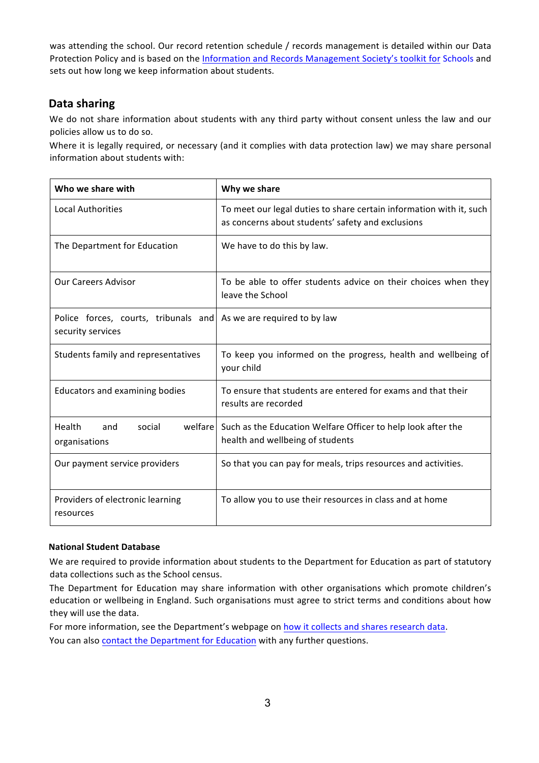was attending the school. Our record retention schedule / records management is detailed within our Data Protection Policy and is based on the Information and Records Management Society's toolkit for Schools and sets out how long we keep information about students.

# **Data sharing**

We do not share information about students with any third party without consent unless the law and our policies allow us to do so.

Where it is legally required, or necessary (and it complies with data protection law) we may share personal information about students with:

| Who we share with                                         | Why we share                                                                                                             |
|-----------------------------------------------------------|--------------------------------------------------------------------------------------------------------------------------|
| <b>Local Authorities</b>                                  | To meet our legal duties to share certain information with it, such<br>as concerns about students' safety and exclusions |
| The Department for Education                              | We have to do this by law.                                                                                               |
| <b>Our Careers Advisor</b>                                | To be able to offer students advice on their choices when they<br>leave the School                                       |
| Police forces, courts, tribunals and<br>security services | As we are required to by law                                                                                             |
| Students family and representatives                       | To keep you informed on the progress, health and wellbeing of<br>your child                                              |
| Educators and examining bodies                            | To ensure that students are entered for exams and that their<br>results are recorded                                     |
| welfare<br>Health<br>social<br>and<br>organisations       | Such as the Education Welfare Officer to help look after the<br>health and wellbeing of students                         |
| Our payment service providers                             | So that you can pay for meals, trips resources and activities.                                                           |
| Providers of electronic learning<br>resources             | To allow you to use their resources in class and at home                                                                 |

#### **National Student Database**

We are required to provide information about students to the Department for Education as part of statutory data collections such as the School census.

The Department for Education may share information with other organisations which promote children's education or wellbeing in England. Such organisations must agree to strict terms and conditions about how they will use the data.

For more information, see the Department's webpage on how it collects and shares research data. You can also contact the Department for Education with any further questions.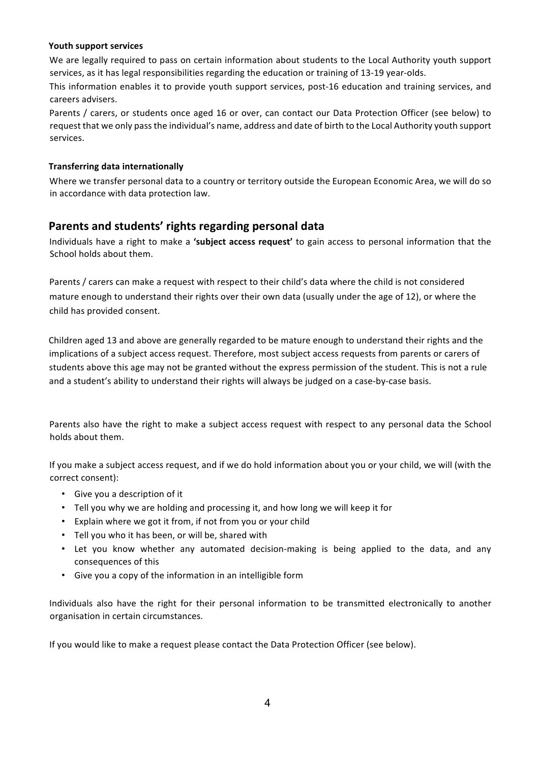#### **Youth support services**

We are legally required to pass on certain information about students to the Local Authority youth support services, as it has legal responsibilities regarding the education or training of 13-19 year-olds.

This information enables it to provide youth support services, post-16 education and training services, and careers advisers. 

Parents / carers, or students once aged 16 or over, can contact our Data Protection Officer (see below) to request that we only pass the individual's name, address and date of birth to the Local Authority youth support services.

#### **Transferring data internationally**

Where we transfer personal data to a country or territory outside the European Economic Area, we will do so in accordance with data protection law.

# Parents and students' rights regarding personal data

Individuals have a right to make a 'subject access request' to gain access to personal information that the School holds about them.

Parents / carers can make a request with respect to their child's data where the child is not considered mature enough to understand their rights over their own data (usually under the age of 12), or where the child has provided consent.

Children aged 13 and above are generally regarded to be mature enough to understand their rights and the implications of a subject access request. Therefore, most subject access requests from parents or carers of students above this age may not be granted without the express permission of the student. This is not a rule and a student's ability to understand their rights will always be judged on a case-by-case basis.

Parents also have the right to make a subject access request with respect to any personal data the School holds about them.

If you make a subject access request, and if we do hold information about you or your child, we will (with the correct consent):

- Give you a description of it
- Tell you why we are holding and processing it, and how long we will keep it for
- Explain where we got it from, if not from you or your child
- Tell you who it has been, or will be, shared with
- Let you know whether any automated decision-making is being applied to the data, and any consequences of this
- Give you a copy of the information in an intelligible form

Individuals also have the right for their personal information to be transmitted electronically to another organisation in certain circumstances.

If you would like to make a request please contact the Data Protection Officer (see below).